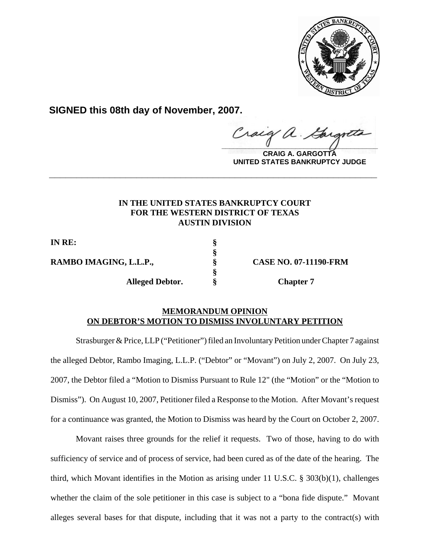

**SIGNED this 08th day of November, 2007.**

Craig a Gargott

**CRAIG A. GARGOTTA UNITED STATES BANKRUPTCY JUDGE**

# **IN THE UNITED STATES BANKRUPTCY COURT FOR THE WESTERN DISTRICT OF TEXAS AUSTIN DIVISION**

**\_\_\_\_\_\_\_\_\_\_\_\_\_\_\_\_\_\_\_\_\_\_\_\_\_\_\_\_\_\_\_\_\_\_\_\_\_\_\_\_\_\_\_\_\_\_\_\_\_\_\_\_\_\_\_\_\_\_\_\_**

**§**

**§**

**IN RE: §**

**RAMBO IMAGING, L.L.P., § CASE NO. 07-11190-FRM**

**Alleged Debtor. § Chapter 7**

# **MEMORANDUM OPINION ON DEBTOR'S MOTION TO DISMISS INVOLUNTARY PETITION**

Strasburger & Price, LLP ("Petitioner") filed an Involuntary Petition under Chapter 7 against the alleged Debtor, Rambo Imaging, L.L.P. ("Debtor" or "Movant") on July 2, 2007. On July 23, 2007, the Debtor filed a "Motion to Dismiss Pursuant to Rule 12" (the "Motion" or the "Motion to Dismiss"). On August 10, 2007, Petitioner filed a Response to the Motion. After Movant's request for a continuance was granted, the Motion to Dismiss was heard by the Court on October 2, 2007.

Movant raises three grounds for the relief it requests. Two of those, having to do with sufficiency of service and of process of service, had been cured as of the date of the hearing. The third, which Movant identifies in the Motion as arising under 11 U.S.C.  $\S$  303(b)(1), challenges whether the claim of the sole petitioner in this case is subject to a "bona fide dispute." Movant alleges several bases for that dispute, including that it was not a party to the contract(s) with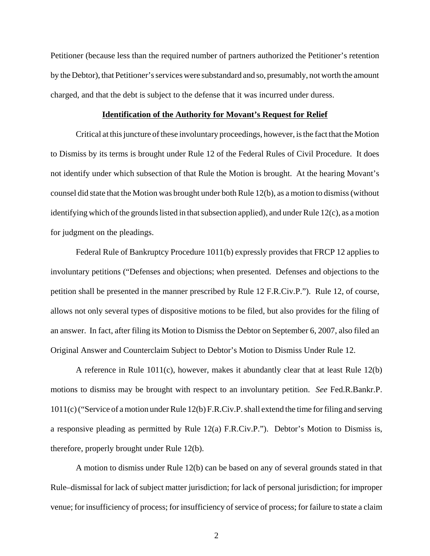Petitioner (because less than the required number of partners authorized the Petitioner's retention by the Debtor), that Petitioner's services were substandard and so, presumably, not worth the amount charged, and that the debt is subject to the defense that it was incurred under duress.

#### **Identification of the Authority for Movant's Request for Relief**

Critical at this juncture of these involuntary proceedings, however, is the fact that the Motion to Dismiss by its terms is brought under Rule 12 of the Federal Rules of Civil Procedure. It does not identify under which subsection of that Rule the Motion is brought. At the hearing Movant's counsel did state that the Motion was brought under both Rule 12(b), as a motion to dismiss (without identifying which of the grounds listed in that subsection applied), and under Rule 12(c), as a motion for judgment on the pleadings.

Federal Rule of Bankruptcy Procedure 1011(b) expressly provides that FRCP 12 applies to involuntary petitions ("Defenses and objections; when presented. Defenses and objections to the petition shall be presented in the manner prescribed by Rule 12 F.R.Civ.P."). Rule 12, of course, allows not only several types of dispositive motions to be filed, but also provides for the filing of an answer. In fact, after filing its Motion to Dismiss the Debtor on September 6, 2007, also filed an Original Answer and Counterclaim Subject to Debtor's Motion to Dismiss Under Rule 12.

A reference in Rule 1011(c), however, makes it abundantly clear that at least Rule 12(b) motions to dismiss may be brought with respect to an involuntary petition. *See* Fed.R.Bankr.P. 1011(c) ("Service of a motion under Rule 12(b) F.R.Civ.P. shall extend the time for filing and serving a responsive pleading as permitted by Rule 12(a) F.R.Civ.P."). Debtor's Motion to Dismiss is, therefore, properly brought under Rule 12(b).

A motion to dismiss under Rule 12(b) can be based on any of several grounds stated in that Rule–dismissal for lack of subject matter jurisdiction; for lack of personal jurisdiction; for improper venue; for insufficiency of process; for insufficiency of service of process; for failure to state a claim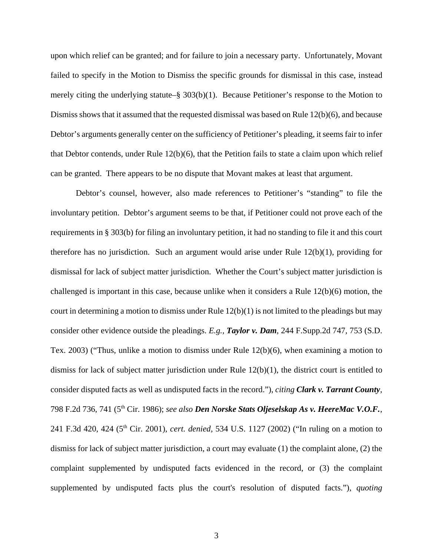upon which relief can be granted; and for failure to join a necessary party. Unfortunately, Movant failed to specify in the Motion to Dismiss the specific grounds for dismissal in this case, instead merely citing the underlying statute–§ 303(b)(1). Because Petitioner's response to the Motion to Dismiss shows that it assumed that the requested dismissal was based on Rule 12(b)(6), and because Debtor's arguments generally center on the sufficiency of Petitioner's pleading, it seems fair to infer that Debtor contends, under Rule 12(b)(6), that the Petition fails to state a claim upon which relief can be granted. There appears to be no dispute that Movant makes at least that argument.

Debtor's counsel, however, also made references to Petitioner's "standing" to file the involuntary petition. Debtor's argument seems to be that, if Petitioner could not prove each of the requirements in § 303(b) for filing an involuntary petition, it had no standing to file it and this court therefore has no jurisdiction. Such an argument would arise under Rule  $12(b)(1)$ , providing for dismissal for lack of subject matter jurisdiction. Whether the Court's subject matter jurisdiction is challenged is important in this case, because unlike when it considers a Rule 12(b)(6) motion, the court in determining a motion to dismiss under Rule  $12(b)(1)$  is not limited to the pleadings but may consider other evidence outside the pleadings. *E.g., Taylor v. Dam*, 244 F.Supp.2d 747, 753 (S.D. Tex. 2003) ("Thus, unlike a motion to dismiss under Rule 12(b)(6), when examining a motion to dismiss for lack of subject matter jurisdiction under Rule 12(b)(1), the district court is entitled to consider disputed facts as well as undisputed facts in the record."), *citing Clark v. Tarrant County*, 798 F.2d 736, 741 (5th Cir. 1986); *see also Den Norske Stats Oljeselskap As v. HeereMac V.O.F.*, 241 F.3d 420, 424 (5th Cir. 2001), *cert. denied,* 534 U.S. 1127 (2002) ("In ruling on a motion to dismiss for lack of subject matter jurisdiction, a court may evaluate (1) the complaint alone, (2) the complaint supplemented by undisputed facts evidenced in the record, or (3) the complaint supplemented by undisputed facts plus the court's resolution of disputed facts."), *quoting*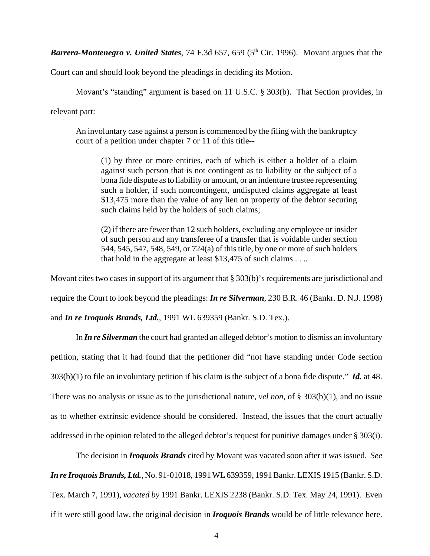**Barrera-Montenegro v. United States**, 74 F.3d 657, 659 (5<sup>th</sup> Cir. 1996). Movant argues that the

Court can and should look beyond the pleadings in deciding its Motion.

Movant's "standing" argument is based on 11 U.S.C. § 303(b). That Section provides, in relevant part:

An involuntary case against a person is commenced by the filing with the bankruptcy court of a petition under chapter 7 or 11 of this title--

(1) by three or more entities, each of which is either a holder of a claim against such person that is not contingent as to liability or the subject of a bona fide dispute as to liability or amount, or an indenture trustee representing such a holder, if such noncontingent, undisputed claims aggregate at least \$13,475 more than the value of any lien on property of the debtor securing such claims held by the holders of such claims;

(2) if there are fewer than 12 such holders, excluding any employee or insider of such person and any transferee of a transfer that is voidable under section 544, 545, 547, 548, 549, or 724(a) of this title, by one or more of such holders that hold in the aggregate at least \$13,475 of such claims . . ..

Movant cites two cases in support of its argument that § 303(b)'s requirements are jurisdictional and

require the Court to look beyond the pleadings: *In re Silverman*, 230 B.R. 46 (Bankr. D. N.J. 1998)

and *In re Iroquois Brands, Ltd.*, 1991 WL 639359 (Bankr. S.D. Tex.).

In *In re Silverman* the court had granted an alleged debtor's motion to dismiss an involuntary petition, stating that it had found that the petitioner did "not have standing under Code section 303(b)(1) to file an involuntary petition if his claim is the subject of a bona fide dispute." *Id.* at 48. There was no analysis or issue as to the jurisdictional nature, *vel non*, of § 303(b)(1), and no issue as to whether extrinsic evidence should be considered. Instead, the issues that the court actually addressed in the opinion related to the alleged debtor's request for punitive damages under § 303(i).

The decision in *Iroquois Brands* cited by Movant was vacated soon after it was issued. *See In re Iroquois Brands, Ltd.*, No. 91-01018, 1991 WL 639359, 1991 Bankr. LEXIS 1915 (Bankr. S.D. Tex. March 7, 1991), *vacated by* 1991 Bankr. LEXIS 2238 (Bankr. S.D. Tex. May 24, 1991). Even if it were still good law, the original decision in *Iroquois Brands* would be of little relevance here.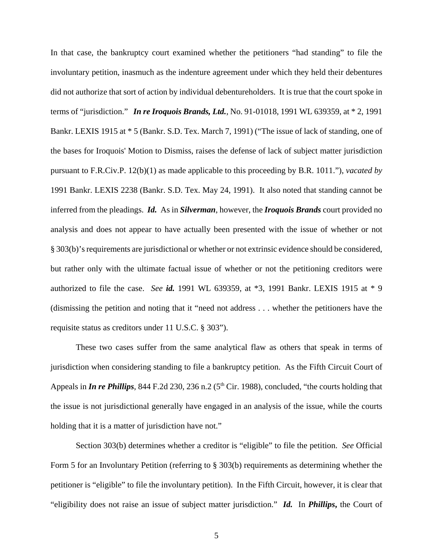In that case, the bankruptcy court examined whether the petitioners "had standing" to file the involuntary petition, inasmuch as the indenture agreement under which they held their debentures did not authorize that sort of action by individual debentureholders. It is true that the court spoke in terms of "jurisdiction." *In re Iroquois Brands, Ltd.*, No. 91-01018, 1991 WL 639359, at \* 2, 1991 Bankr. LEXIS 1915 at \* 5 (Bankr. S.D. Tex. March 7, 1991) ("The issue of lack of standing, one of the bases for Iroquois' Motion to Dismiss, raises the defense of lack of subject matter jurisdiction pursuant to F.R.Civ.P. 12(b)(1) as made applicable to this proceeding by B.R. 1011."), *vacated by* 1991 Bankr. LEXIS 2238 (Bankr. S.D. Tex. May 24, 1991). It also noted that standing cannot be inferred from the pleadings. *Id.*As in *Silverman*, however, the *Iroquois Brands* court provided no analysis and does not appear to have actually been presented with the issue of whether or not § 303(b)'s requirements are jurisdictional or whether or not extrinsic evidence should be considered, but rather only with the ultimate factual issue of whether or not the petitioning creditors were authorized to file the case. *See id.* 1991 WL 639359, at \*3, 1991 Bankr. LEXIS 1915 at \* 9 (dismissing the petition and noting that it "need not address . . . whether the petitioners have the requisite status as creditors under 11 U.S.C. § 303").

These two cases suffer from the same analytical flaw as others that speak in terms of jurisdiction when considering standing to file a bankruptcy petition. As the Fifth Circuit Court of Appeals in *In re Phillips*, 844 F.2d 230, 236 n.2 (5<sup>th</sup> Cir. 1988), concluded, "the courts holding that the issue is not jurisdictional generally have engaged in an analysis of the issue, while the courts holding that it is a matter of jurisdiction have not."

Section 303(b) determines whether a creditor is "eligible" to file the petition. *See* Official Form 5 for an Involuntary Petition (referring to § 303(b) requirements as determining whether the petitioner is "eligible" to file the involuntary petition). In the Fifth Circuit, however, it is clear that "eligibility does not raise an issue of subject matter jurisdiction." *Id.* In *Phillips***,** the Court of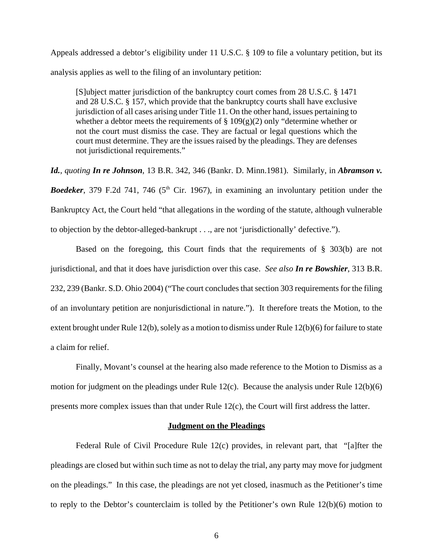Appeals addressed a debtor's eligibility under 11 U.S.C. § 109 to file a voluntary petition, but its analysis applies as well to the filing of an involuntary petition:

[S]ubject matter jurisdiction of the bankruptcy court comes from 28 U.S.C. § 1471 and 28 U.S.C. § 157, which provide that the bankruptcy courts shall have exclusive jurisdiction of all cases arising under Title 11. On the other hand, issues pertaining to whether a debtor meets the requirements of  $\S 109(g)(2)$  only "determine whether or not the court must dismiss the case. They are factual or legal questions which the court must determine. They are the issues raised by the pleadings. They are defenses not jurisdictional requirements."

*Id.*, *quoting In re Johnson*, 13 B.R. 342, 346 (Bankr. D. Minn.1981). Similarly, in *Abramson v.* **Boedeker**, 379 F.2d 741, 746 (5<sup>th</sup> Cir. 1967), in examining an involuntary petition under the Bankruptcy Act, the Court held "that allegations in the wording of the statute, although vulnerable to objection by the debtor-alleged-bankrupt . . ., are not 'jurisdictionally' defective.").

Based on the foregoing, this Court finds that the requirements of § 303(b) are not jurisdictional, and that it does have jurisdiction over this case. *See also In re Bowshier*, 313 B.R. 232, 239 (Bankr. S.D. Ohio 2004) ("The court concludes that section 303 requirements for the filing of an involuntary petition are nonjurisdictional in nature."). It therefore treats the Motion, to the extent brought under Rule 12(b), solely as a motion to dismiss under Rule 12(b)(6) for failure to state a claim for relief.

Finally, Movant's counsel at the hearing also made reference to the Motion to Dismiss as a motion for judgment on the pleadings under Rule 12(c). Because the analysis under Rule 12(b)(6) presents more complex issues than that under Rule 12(c), the Court will first address the latter.

#### **Judgment on the Pleadings**

Federal Rule of Civil Procedure Rule 12(c) provides, in relevant part, that "[a]fter the pleadings are closed but within such time as not to delay the trial, any party may move for judgment on the pleadings." In this case, the pleadings are not yet closed, inasmuch as the Petitioner's time to reply to the Debtor's counterclaim is tolled by the Petitioner's own Rule 12(b)(6) motion to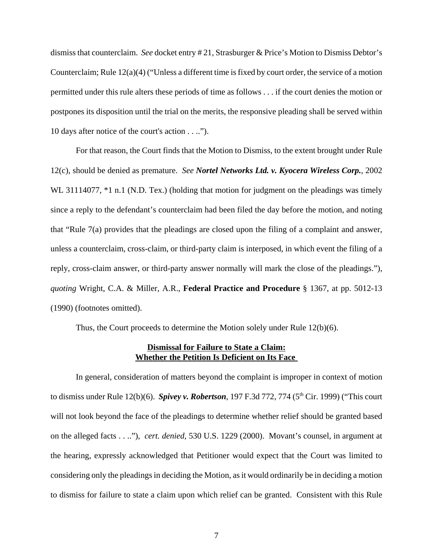dismiss that counterclaim. *See* docket entry # 21, Strasburger & Price's Motion to Dismiss Debtor's Counterclaim; Rule 12(a)(4) ("Unless a different time is fixed by court order, the service of a motion permitted under this rule alters these periods of time as follows . . . if the court denies the motion or postpones its disposition until the trial on the merits, the responsive pleading shall be served within 10 days after notice of the court's action . . ..").

For that reason, the Court finds that the Motion to Dismiss, to the extent brought under Rule 12(c), should be denied as premature. *See Nortel Networks Ltd. v. Kyocera Wireless Corp.*, 2002 WL 31114077,  $*1$  n.1 (N.D. Tex.) (holding that motion for judgment on the pleadings was timely since a reply to the defendant's counterclaim had been filed the day before the motion, and noting that "Rule 7(a) provides that the pleadings are closed upon the filing of a complaint and answer, unless a counterclaim, cross-claim, or third-party claim is interposed, in which event the filing of a reply, cross-claim answer, or third-party answer normally will mark the close of the pleadings."), *quoting* Wright, C.A. & Miller, A.R., **Federal Practice and Procedure** § 1367, at pp. 5012-13 (1990) (footnotes omitted).

Thus, the Court proceeds to determine the Motion solely under Rule 12(b)(6).

## **Dismissal for Failure to State a Claim: Whether the Petition Is Deficient on Its Face**

In general, consideration of matters beyond the complaint is improper in context of motion to dismiss under Rule 12(b)(6). *Spivey v. Robertson*, 197 F.3d 772, 774 (5<sup>th</sup> Cir. 1999) ("This court will not look beyond the face of the pleadings to determine whether relief should be granted based on the alleged facts . . .."), *cert. denied,* 530 U.S. 1229 (2000). Movant's counsel, in argument at the hearing, expressly acknowledged that Petitioner would expect that the Court was limited to considering only the pleadings in deciding the Motion, as it would ordinarily be in deciding a motion to dismiss for failure to state a claim upon which relief can be granted. Consistent with this Rule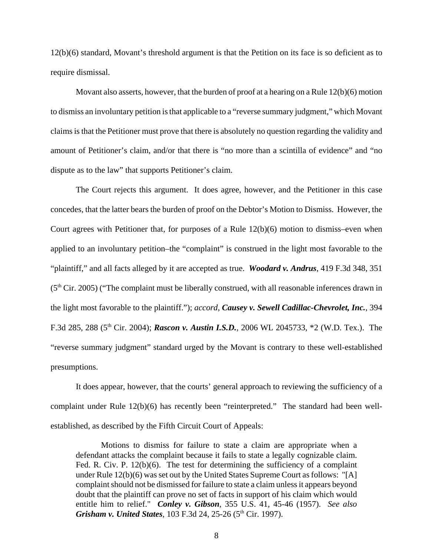12(b)(6) standard, Movant's threshold argument is that the Petition on its face is so deficient as to require dismissal.

Movant also asserts, however, that the burden of proof at a hearing on a Rule 12(b)(6) motion to dismiss an involuntary petition is that applicable to a "reverse summary judgment," which Movant claims is that the Petitioner must prove that there is absolutely no question regarding the validity and amount of Petitioner's claim, and/or that there is "no more than a scintilla of evidence" and "no dispute as to the law" that supports Petitioner's claim.

The Court rejects this argument. It does agree, however, and the Petitioner in this case concedes, that the latter bears the burden of proof on the Debtor's Motion to Dismiss. However, the Court agrees with Petitioner that, for purposes of a Rule  $12(b)(6)$  motion to dismiss–even when applied to an involuntary petition–the "complaint" is construed in the light most favorable to the "plaintiff," and all facts alleged by it are accepted as true. *Woodard v. Andrus*, 419 F.3d 348, 351  $(5<sup>th</sup> Cir. 2005)$  ("The complaint must be liberally construed, with all reasonable inferences drawn in the light most favorable to the plaintiff."); *accord, Causey v. Sewell Cadillac-Chevrolet, Inc.*, 394 F.3d 285, 288 (5th Cir. 2004); *Rascon v. Austin I.S.D.,* 2006 WL 2045733, \*2 (W.D. Tex.). The "reverse summary judgment" standard urged by the Movant is contrary to these well-established presumptions.

It does appear, however, that the courts' general approach to reviewing the sufficiency of a complaint under Rule 12(b)(6) has recently been "reinterpreted." The standard had been wellestablished, as described by the Fifth Circuit Court of Appeals:

Motions to dismiss for failure to state a claim are appropriate when a defendant attacks the complaint because it fails to state a legally cognizable claim. Fed. R. Civ. P. 12(b)(6). The test for determining the sufficiency of a complaint under Rule 12(b)(6) was set out by the United States Supreme Court as follows: "[A] complaint should not be dismissed for failure to state a claim unless it appears beyond doubt that the plaintiff can prove no set of facts in support of his claim which would entitle him to relief." *Conley v. Gibson*, 355 U.S. 41, 45-46 (1957). *See also Grisham v. United States*, 103 F.3d 24, 25-26 (5<sup>th</sup> Cir. 1997).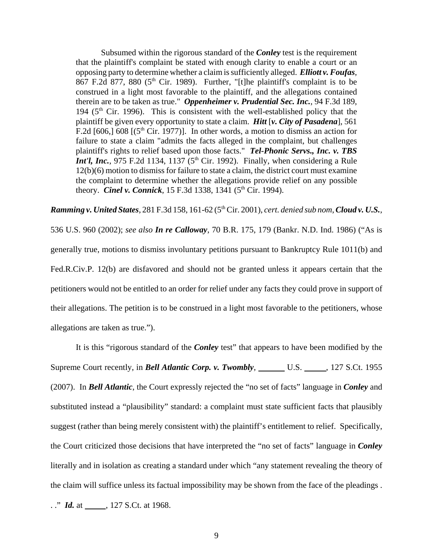Subsumed within the rigorous standard of the *Conley* test is the requirement that the plaintiff's complaint be stated with enough clarity to enable a court or an opposing party to determine whether a claim is sufficiently alleged. *Elliott v. Foufas*,  $867$  F.2d 877, 880 (5<sup>th</sup> Cir. 1989). Further, "[t]he plaintiff's complaint is to be construed in a light most favorable to the plaintiff, and the allegations contained therein are to be taken as true." *Oppenheimer v. Prudential Sec. Inc.*, 94 F.3d 189, 194 ( $5<sup>th</sup>$  Cir. 1996). This is consistent with the well-established policy that the plaintiff be given every opportunity to state a claim. *Hitt* [*v. City of Pasadena*], 561 F.2d [606,] 608 [ $(5<sup>th</sup> Cir. 1977)$ ]. In other words, a motion to dismiss an action for failure to state a claim "admits the facts alleged in the complaint, but challenges plaintiff's rights to relief based upon those facts." *Tel-Phonic Servs., Inc. v. TBS Int'l, Inc.*, 975 F.2d 1134, 1137 ( $5<sup>th</sup>$  Cir. 1992). Finally, when considering a Rule 12(b)(6) motion to dismiss for failure to state a claim, the district court must examine the complaint to determine whether the allegations provide relief on any possible theory. *Cinel v. Connick*, 15 F.3d 1338, 1341 (5<sup>th</sup> Cir. 1994).

*Ramming v. United States*, 281 F.3d 158, 161-62 (5<sup>th</sup> Cir. 2001), *cert. denied sub nom*, *Cloud v. U.S.*,

536 U.S. 960 (2002); *see also In re Calloway*, 70 B.R. 175, 179 (Bankr. N.D. Ind. 1986) ("As is generally true, motions to dismiss involuntary petitions pursuant to Bankruptcy Rule 1011(b) and Fed.R.Civ.P. 12(b) are disfavored and should not be granted unless it appears certain that the petitioners would not be entitled to an order for relief under any facts they could prove in support of their allegations. The petition is to be construed in a light most favorable to the petitioners, whose allegations are taken as true.").

It is this "rigorous standard of the *Conley* test" that appears to have been modified by the Supreme Court recently, in *Bell Atlantic Corp. v. Twombly*, U.S. U.S. 127 S.Ct. 1955 (2007). In *Bell Atlantic*, the Court expressly rejected the "no set of facts" language in *Conley* and substituted instead a "plausibility" standard: a complaint must state sufficient facts that plausibly suggest (rather than being merely consistent with) the plaintiff's entitlement to relief. Specifically, the Court criticized those decisions that have interpreted the "no set of facts" language in *Conley* literally and in isolation as creating a standard under which "any statement revealing the theory of the claim will suffice unless its factual impossibility may be shown from the face of the pleadings .

. ." *Id.* at \_\_\_\_\_\_, 127 S.Ct. at 1968.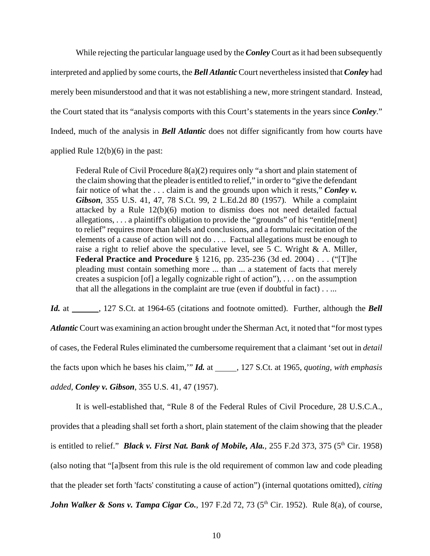While rejecting the particular language used by the *Conley* Court as it had been subsequently interpreted and applied by some courts, the *Bell Atlantic* Court nevertheless insisted that *Conley* had merely been misunderstood and that it was not establishing a new, more stringent standard. Instead, the Court stated that its "analysis comports with this Court's statements in the years since *Conley*." Indeed, much of the analysis in *Bell Atlantic* does not differ significantly from how courts have applied Rule 12(b)(6) in the past:

Federal Rule of Civil Procedure 8(a)(2) requires only "a short and plain statement of the claim showing that the pleader is entitled to relief," in order to "give the defendant fair notice of what the . . . claim is and the grounds upon which it rests," *Conley v. Gibson*, 355 U.S. 41, 47, 78 S.Ct. 99, 2 L.Ed.2d 80 (1957). While a complaint attacked by a Rule 12(b)(6) motion to dismiss does not need detailed factual allegations, . . . a plaintiff's obligation to provide the "grounds" of his "entitle[ment] to relief" requires more than labels and conclusions, and a formulaic recitation of the elements of a cause of action will not do . . .. Factual allegations must be enough to raise a right to relief above the speculative level, see 5 C. Wright  $\&$  A. Miller, **Federal Practice and Procedure** § 1216, pp. 235-236 (3d ed. 2004) . . . ("[T]he pleading must contain something more ... than ... a statement of facts that merely creates a suspicion [of] a legally cognizable right of action"), . . . on the assumption that all the allegations in the complaint are true (even if doubtful in fact) . . ...

*Id.* at \_\_\_\_\_\_, 127 S.Ct. at 1964-65 (citations and footnote omitted). Further, although the *Bell Atlantic* Court was examining an action brought under the Sherman Act, it noted that "for most types of cases, the Federal Rules eliminated the cumbersome requirement that a claimant 'set out in *detail* the facts upon which he bases his claim," *Id.* at \_\_\_\_\_, 127 S.Ct. at 1965, *quoting, with emphasis added, Conley v. Gibson*, 355 U.S. 41, 47 (1957).

It is well-established that, "Rule 8 of the Federal Rules of Civil Procedure, 28 U.S.C.A., provides that a pleading shall set forth a short, plain statement of the claim showing that the pleader is entitled to relief." *Black v. First Nat. Bank of Mobile, Ala.*, 255 F.2d 373, 375 (5<sup>th</sup> Cir. 1958) (also noting that "[a]bsent from this rule is the old requirement of common law and code pleading that the pleader set forth 'facts' constituting a cause of action") (internal quotations omitted), *citing John Walker & Sons v. Tampa Cigar Co., 197 F.2d 72, 73 (5<sup>th</sup> Cir. 1952). Rule 8(a), of course,*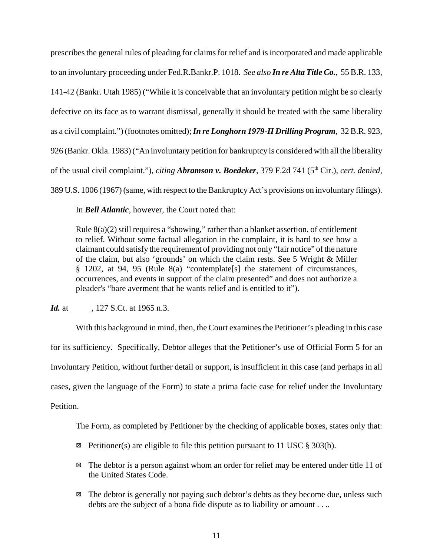prescribes the general rules of pleading for claims for relief and is incorporated and made applicable to an involuntary proceeding under Fed.R.Bankr.P. 1018. *See also In re Alta Title Co.,* 55 B.R. 133, 141-42 (Bankr. Utah 1985) ("While it is conceivable that an involuntary petition might be so clearly defective on its face as to warrant dismissal, generally it should be treated with the same liberality as a civil complaint.") (footnotes omitted); *In re Longhorn 1979-II Drilling Program*, 32 B.R. 923, 926 (Bankr. Okla. 1983) ("An involuntary petition for bankruptcy is considered with all the liberality of the usual civil complaint."), *citing Abramson v. Boedeker*, 379 F.2d 741 (5th Cir.), *cert. denied,* 389 U.S. 1006 (1967) (same, with respect to the Bankruptcy Act's provisions on involuntary filings).

In *Bell Atlantic*, however, the Court noted that:

Rule 8(a)(2) still requires a "showing," rather than a blanket assertion, of entitlement to relief. Without some factual allegation in the complaint, it is hard to see how a claimant could satisfy the requirement of providing not only "fair notice" of the nature of the claim, but also 'grounds' on which the claim rests. See 5 Wright & Miller § 1202, at 94, 95 (Rule 8(a) "contemplate[s] the statement of circumstances, occurrences, and events in support of the claim presented" and does not authorize a pleader's "bare averment that he wants relief and is entitled to it").

*Id.* at , 127 S.Ct. at 1965 n.3.

With this background in mind, then, the Court examines the Petitioner's pleading in this case for its sufficiency. Specifically, Debtor alleges that the Petitioner's use of Official Form 5 for an Involuntary Petition, without further detail or support, is insufficient in this case (and perhaps in all cases, given the language of the Form) to state a prima facie case for relief under the Involuntary Petition.

The Form, as completed by Petitioner by the checking of applicable boxes, states only that:

- Equal Petitioner(s) are eligible to file this petition pursuant to 11 USC  $\S$  303(b).
- $\boxtimes$  The debtor is a person against whom an order for relief may be entered under title 11 of the United States Code.
- $\boxtimes$  The debtor is generally not paying such debtor's debts as they become due, unless such debts are the subject of a bona fide dispute as to liability or amount . . ..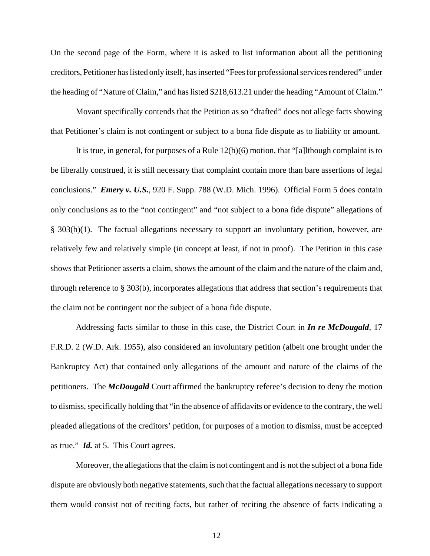On the second page of the Form, where it is asked to list information about all the petitioning creditors, Petitioner has listed only itself, has inserted "Fees for professional services rendered" under the heading of "Nature of Claim," and has listed \$218,613.21 under the heading "Amount of Claim."

Movant specifically contends that the Petition as so "drafted" does not allege facts showing that Petitioner's claim is not contingent or subject to a bona fide dispute as to liability or amount.

It is true, in general, for purposes of a Rule 12(b)(6) motion, that "[a]lthough complaint is to be liberally construed, it is still necessary that complaint contain more than bare assertions of legal conclusions." *Emery v. U.S.*, 920 F. Supp. 788 (W.D. Mich. 1996). Official Form 5 does contain only conclusions as to the "not contingent" and "not subject to a bona fide dispute" allegations of § 303(b)(1). The factual allegations necessary to support an involuntary petition, however, are relatively few and relatively simple (in concept at least, if not in proof). The Petition in this case shows that Petitioner asserts a claim, shows the amount of the claim and the nature of the claim and, through reference to § 303(b), incorporates allegations that address that section's requirements that the claim not be contingent nor the subject of a bona fide dispute.

Addressing facts similar to those in this case, the District Court in *In re McDougald*, 17 F.R.D. 2 (W.D. Ark. 1955), also considered an involuntary petition (albeit one brought under the Bankruptcy Act) that contained only allegations of the amount and nature of the claims of the petitioners. The *McDougald* Court affirmed the bankruptcy referee's decision to deny the motion to dismiss, specifically holding that "in the absence of affidavits or evidence to the contrary, the well pleaded allegations of the creditors' petition, for purposes of a motion to dismiss, must be accepted as true." *Id.* at 5. This Court agrees.

Moreover, the allegations that the claim is not contingent and is not the subject of a bona fide dispute are obviously both negative statements, such that the factual allegations necessary to support them would consist not of reciting facts, but rather of reciting the absence of facts indicating a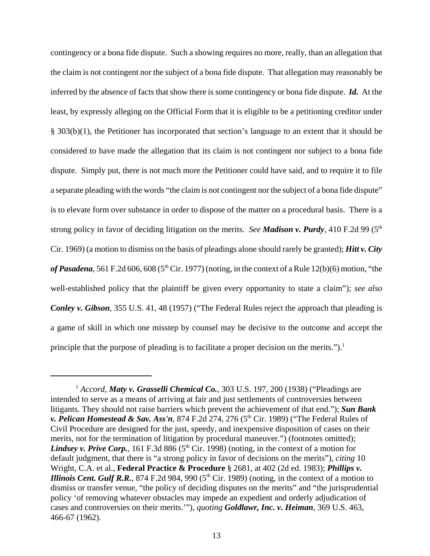contingency or a bona fide dispute. Such a showing requires no more, really, than an allegation that the claim is not contingent nor the subject of a bona fide dispute. That allegation may reasonably be inferred by the absence of facts that show there is some contingency or bona fide dispute. *Id.* At the least, by expressly alleging on the Official Form that it is eligible to be a petitioning creditor under § 303(b)(1), the Petitioner has incorporated that section's language to an extent that it should be considered to have made the allegation that its claim is not contingent nor subject to a bona fide dispute. Simply put, there is not much more the Petitioner could have said, and to require it to file a separate pleading with the words "the claim is not contingent nor the subject of a bona fide dispute" is to elevate form over substance in order to dispose of the matter on a procedural basis. There is a strong policy in favor of deciding litigation on the merits. *See Madison v. Purdy*, 410 F.2d 99 (5th Cir. 1969) (a motion to dismiss on the basis of pleadings alone should rarely be granted); *Hitt v. City* of Pasadena, 561 F.2d 606, 608 ( $5<sup>th</sup>$  Cir. 1977) (noting, in the context of a Rule 12(b)(6) motion, "the well-established policy that the plaintiff be given every opportunity to state a claim"); *see also Conley v. Gibson*, 355 U.S. 41, 48 (1957) ("The Federal Rules reject the approach that pleading is a game of skill in which one misstep by counsel may be decisive to the outcome and accept the principle that the purpose of pleading is to facilitate a proper decision on the merits.").<sup>1</sup>

<sup>1</sup> *Accord, Maty v. Grasselli Chemical Co.*, 303 U.S. 197, 200 (1938) ("Pleadings are intended to serve as a means of arriving at fair and just settlements of controversies between litigants. They should not raise barriers which prevent the achievement of that end."); *Sun Bank v. Pelican Homestead & Sav. Ass'n, 874 F.2d 274, 276 (5<sup>th</sup> Cir. 1989) ("The Federal Rules of* Civil Procedure are designed for the just, speedy, and inexpensive disposition of cases on their merits, not for the termination of litigation by procedural maneuver.") (footnotes omitted); *Lindsey v. Prive Corp.*, 161 F.3d 886 ( $5<sup>th</sup>$  Cir. 1998) (noting, in the context of a motion for default judgment, that there is "a strong policy in favor of decisions on the merits"), *citing* 10 Wright, C.A. et al., **Federal Practice & Procedure** § 2681, at 402 (2d ed. 1983); *Phillips v. Illinois Cent. Gulf R.R.*, 874 F.2d 984, 990 ( $5<sup>th</sup> Cir.$  1989) (noting, in the context of a motion to dismiss or transfer venue, "the policy of deciding disputes on the merits" and "the jurisprudential policy 'of removing whatever obstacles may impede an expedient and orderly adjudication of cases and controversies on their merits.'"), *quoting Goldlawr, Inc. v. Heiman*, 369 U.S. 463, 466-67 (1962).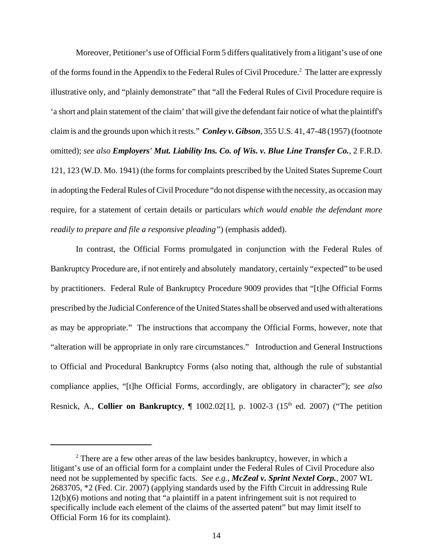Moreover, Petitioner's use of Official Form 5 differs qualitatively from a litigant's use of one of the forms found in the Appendix to the Federal Rules of Civil Procedure.<sup>2</sup> The latter are expressly illustrative only, and "plainly demonstrate" that "all the Federal Rules of Civil Procedure require is 'a short and plain statement of the claim' that will give the defendant fair notice of what the plaintiff's claim is and the grounds upon which it rests." *Conley v. Gibson*, 355 U.S. 41, 47-48 (1957) (footnote omitted); *see also Employers' Mut. Liability Ins. Co. of Wis. v. Blue Line Transfer Co.*, 2 F.R.D. 121, 123 (W.D. Mo. 1941) (the forms for complaints prescribed by the United States Supreme Court in adopting the Federal Rules of Civil Procedure "do not dispense with the necessity, as occasion may require, for a statement of certain details or particulars *which would enable the defendant more readily to prepare and file a responsive pleading"*) (emphasis added).

In contrast, the Official Forms promulgated in conjunction with the Federal Rules of Bankruptcy Procedure are, if not entirely and absolutely mandatory, certainly "expected" to be used by practitioners. Federal Rule of Bankruptcy Procedure 9009 provides that "[t]he Official Forms prescribed by the Judicial Conference of the United States shall be observed and used with alterations as may be appropriate." The instructions that accompany the Official Forms, however, note that "alteration will be appropriate in only rare circumstances." Introduction and General Instructions to Official and Procedural Bankruptcy Forms (also noting that, although the rule of substantial compliance applies, "[t]he Official Forms, accordingly, are obligatory in character"); *see also* Resnick, A., **Collier on Bankruptcy**,  $\P$  1002.02[1], p. 1002-3 (15<sup>th</sup> ed. 2007) ("The petition

 $2<sup>2</sup>$  There are a few other areas of the law besides bankruptcy, however, in which a litigant's use of an official form for a complaint under the Federal Rules of Civil Procedure also need not be supplemented by specific facts. *See e.g., McZeal v. Sprint Nextel Corp.*, 2007 WL 2683705, \*2 (Fed. Cir. 2007) (applying standards used by the Fifth Circuit in addressing Rule 12(b)(6) motions and noting that "a plaintiff in a patent infringement suit is not required to specifically include each element of the claims of the asserted patent" but may limit itself to Official Form 16 for its complaint).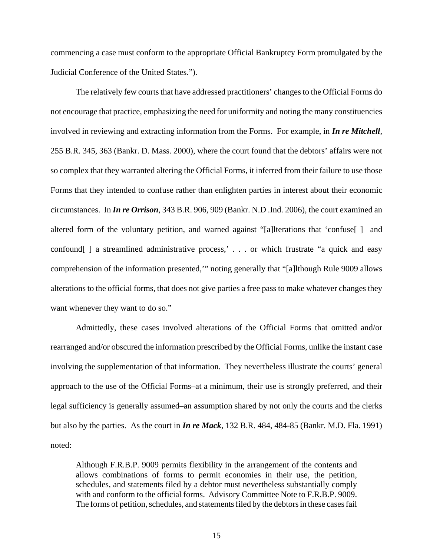commencing a case must conform to the appropriate Official Bankruptcy Form promulgated by the Judicial Conference of the United States.").

The relatively few courts that have addressed practitioners' changes to the Official Forms do not encourage that practice, emphasizing the need for uniformity and noting the many constituencies involved in reviewing and extracting information from the Forms. For example, in *In re Mitchell*, 255 B.R. 345, 363 (Bankr. D. Mass. 2000), where the court found that the debtors' affairs were not so complex that they warranted altering the Official Forms, it inferred from their failure to use those Forms that they intended to confuse rather than enlighten parties in interest about their economic circumstances. In *In re Orrison*, 343 B.R. 906, 909 (Bankr. N.D .Ind. 2006), the court examined an altered form of the voluntary petition, and warned against "[a]lterations that 'confuse[ ] and confound[ ] a streamlined administrative process,' . . . or which frustrate "a quick and easy comprehension of the information presented,'" noting generally that "[a]lthough Rule 9009 allows alterations to the official forms, that does not give parties a free pass to make whatever changes they want whenever they want to do so."

Admittedly, these cases involved alterations of the Official Forms that omitted and/or rearranged and/or obscured the information prescribed by the Official Forms, unlike the instant case involving the supplementation of that information. They nevertheless illustrate the courts' general approach to the use of the Official Forms–at a minimum, their use is strongly preferred, and their legal sufficiency is generally assumed–an assumption shared by not only the courts and the clerks but also by the parties. As the court in *In re Mack,* 132 B.R. 484, 484-85 (Bankr. M.D. Fla. 1991) noted:

Although F.R.B.P. 9009 permits flexibility in the arrangement of the contents and allows combinations of forms to permit economies in their use, the petition, schedules, and statements filed by a debtor must nevertheless substantially comply with and conform to the official forms. Advisory Committee Note to F.R.B.P. 9009. The forms of petition, schedules, and statements filed by the debtors in these cases fail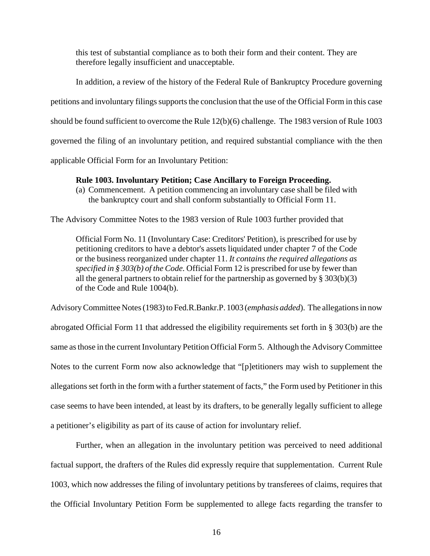this test of substantial compliance as to both their form and their content. They are therefore legally insufficient and unacceptable.

In addition, a review of the history of the Federal Rule of Bankruptcy Procedure governing petitions and involuntary filings supports the conclusion that the use of the Official Form in this case should be found sufficient to overcome the Rule 12(b)(6) challenge. The 1983 version of Rule 1003 governed the filing of an involuntary petition, and required substantial compliance with the then applicable Official Form for an Involuntary Petition:

## **Rule 1003. Involuntary Petition; Case Ancillary to Foreign Proceeding.**

(a) Commencement. A petition commencing an involuntary case shall be filed with the bankruptcy court and shall conform substantially to Official Form 11.

The Advisory Committee Notes to the 1983 version of Rule 1003 further provided that

Official Form No. 11 (Involuntary Case: Creditors' Petition), is prescribed for use by petitioning creditors to have a debtor's assets liquidated under chapter 7 of the Code or the business reorganized under chapter 11. *It contains the required allegations as specified in § 303(b) of the Code.* Official Form 12 is prescribed for use by fewer than all the general partners to obtain relief for the partnership as governed by § 303(b)(3) of the Code and Rule 1004(b).

Advisory Committee Notes (1983) to Fed.R.Bankr.P. 1003 (*emphasis added*). The allegations in now abrogated Official Form 11 that addressed the eligibility requirements set forth in § 303(b) are the same as those in the current Involuntary Petition Official Form 5. Although the Advisory Committee Notes to the current Form now also acknowledge that "[p]etitioners may wish to supplement the allegations set forth in the form with a further statement of facts," the Form used by Petitioner in this case seems to have been intended, at least by its drafters, to be generally legally sufficient to allege a petitioner's eligibility as part of its cause of action for involuntary relief.

Further, when an allegation in the involuntary petition was perceived to need additional factual support, the drafters of the Rules did expressly require that supplementation. Current Rule 1003, which now addresses the filing of involuntary petitions by transferees of claims, requires that the Official Involuntary Petition Form be supplemented to allege facts regarding the transfer to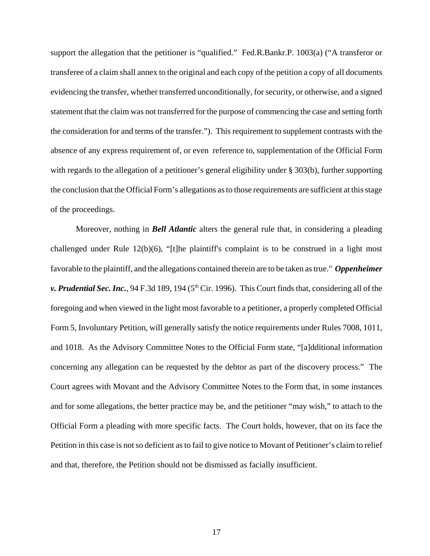support the allegation that the petitioner is "qualified." Fed.R.Bankr.P. 1003(a) ("A transferor or transferee of a claim shall annex to the original and each copy of the petition a copy of all documents evidencing the transfer, whether transferred unconditionally, for security, or otherwise, and a signed statement that the claim was not transferred for the purpose of commencing the case and setting forth the consideration for and terms of the transfer."). This requirement to supplement contrasts with the absence of any express requirement of, or even reference to, supplementation of the Official Form with regards to the allegation of a petitioner's general eligibility under § 303(b), further supporting the conclusion that the Official Form's allegations as to those requirements are sufficient at this stage of the proceedings.

Moreover, nothing in *Bell Atlantic* alters the general rule that, in considering a pleading challenged under Rule 12(b)(6), "[t]he plaintiff's complaint is to be construed in a light most favorable to the plaintiff, and the allegations contained therein are to be taken as true." *Oppenheimer v. Prudential Sec. Inc.*, 94 F.3d 189, 194 (5<sup>th</sup> Cir. 1996). This Court finds that, considering all of the foregoing and when viewed in the light most favorable to a petitioner, a properly completed Official Form 5, Involuntary Petition, will generally satisfy the notice requirements under Rules 7008, 1011, and 1018. As the Advisory Committee Notes to the Official Form state, "[a]dditional information concerning any allegation can be requested by the debtor as part of the discovery process." The Court agrees with Movant and the Advisory Committee Notes to the Form that, in some instances and for some allegations, the better practice may be, and the petitioner "may wish," to attach to the Official Form a pleading with more specific facts. The Court holds, however, that on its face the Petition in this case is not so deficient as to fail to give notice to Movant of Petitioner's claim to relief and that, therefore, the Petition should not be dismissed as facially insufficient.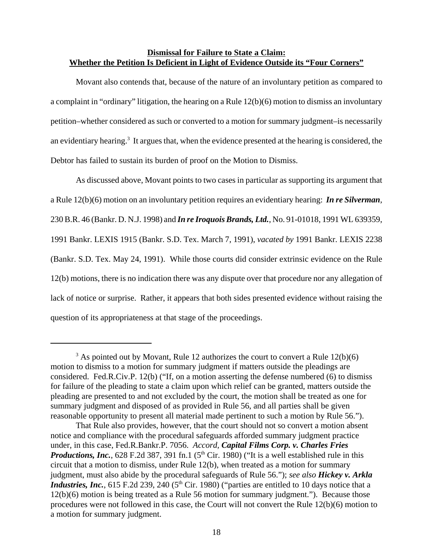## **Dismissal for Failure to State a Claim: Whether the Petition Is Deficient in Light of Evidence Outside its "Four Corners"**

Movant also contends that, because of the nature of an involuntary petition as compared to a complaint in "ordinary" litigation, the hearing on a Rule 12(b)(6) motion to dismiss an involuntary petition–whether considered as such or converted to a motion for summary judgment–is necessarily an evidentiary hearing.<sup>3</sup> It argues that, when the evidence presented at the hearing is considered, the Debtor has failed to sustain its burden of proof on the Motion to Dismiss.

As discussed above, Movant points to two cases in particular as supporting its argument that a Rule 12(b)(6) motion on an involuntary petition requires an evidentiary hearing: *In re Silverman*, 230 B.R. 46 (Bankr. D. N.J. 1998) and *In re Iroquois Brands, Ltd.*, No. 91-01018, 1991 WL 639359, 1991 Bankr. LEXIS 1915 (Bankr. S.D. Tex. March 7, 1991), *vacated by* 1991 Bankr. LEXIS 2238 (Bankr. S.D. Tex. May 24, 1991). While those courts did consider extrinsic evidence on the Rule 12(b) motions, there is no indication there was any dispute over that procedure nor any allegation of lack of notice or surprise. Rather, it appears that both sides presented evidence without raising the question of its appropriateness at that stage of the proceedings.

 $3$  As pointed out by Movant, Rule 12 authorizes the court to convert a Rule 12(b)(6) motion to dismiss to a motion for summary judgment if matters outside the pleadings are considered. Fed.R.Civ.P. 12(b) ("If, on a motion asserting the defense numbered (6) to dismiss for failure of the pleading to state a claim upon which relief can be granted, matters outside the pleading are presented to and not excluded by the court, the motion shall be treated as one for summary judgment and disposed of as provided in Rule 56, and all parties shall be given reasonable opportunity to present all material made pertinent to such a motion by Rule 56.").

That Rule also provides, however, that the court should not so convert a motion absent notice and compliance with the procedural safeguards afforded summary judgment practice under, in this case, Fed.R.Bankr.P. 7056. *Accord, Capital Films Corp. v. Charles Fries Productions, Inc.*, 628 F.2d 387, 391 fn.1 ( $5<sup>th</sup>$  Cir. 1980) ("It is a well established rule in this circuit that a motion to dismiss, under Rule 12(b), when treated as a motion for summary judgment, must also abide by the procedural safeguards of Rule 56."); *see also Hickey v. Arkla Industries, Inc.*, 615 F.2d 239, 240 (5<sup>th</sup> Cir. 1980) ("parties are entitled to 10 days notice that a 12(b)(6) motion is being treated as a Rule 56 motion for summary judgment."). Because those procedures were not followed in this case, the Court will not convert the Rule 12(b)(6) motion to a motion for summary judgment.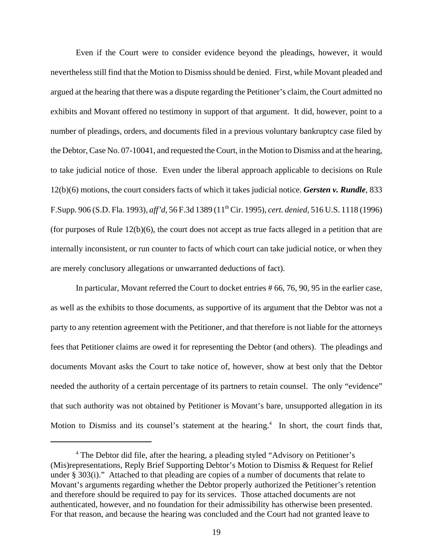Even if the Court were to consider evidence beyond the pleadings, however, it would nevertheless still find that the Motion to Dismiss should be denied. First, while Movant pleaded and argued at the hearing that there was a dispute regarding the Petitioner's claim, the Court admitted no exhibits and Movant offered no testimony in support of that argument. It did, however, point to a number of pleadings, orders, and documents filed in a previous voluntary bankruptcy case filed by the Debtor, Case No. 07-10041, and requested the Court, in the Motion to Dismiss and at the hearing, to take judicial notice of those. Even under the liberal approach applicable to decisions on Rule 12(b)(6) motions, the court considers facts of which it takes judicial notice. *Gersten v. Rundle*, 833 F.Supp. 906 (S.D. Fla. 1993), *aff'd,* 56 F.3d 1389 (11th Cir. 1995), *cert. denied,* 516 U.S. 1118 (1996) (for purposes of Rule  $12(b)(6)$ , the court does not accept as true facts alleged in a petition that are internally inconsistent, or run counter to facts of which court can take judicial notice, or when they are merely conclusory allegations or unwarranted deductions of fact).

In particular, Movant referred the Court to docket entries # 66, 76, 90, 95 in the earlier case, as well as the exhibits to those documents, as supportive of its argument that the Debtor was not a party to any retention agreement with the Petitioner, and that therefore is not liable for the attorneys fees that Petitioner claims are owed it for representing the Debtor (and others). The pleadings and documents Movant asks the Court to take notice of, however, show at best only that the Debtor needed the authority of a certain percentage of its partners to retain counsel. The only "evidence" that such authority was not obtained by Petitioner is Movant's bare, unsupported allegation in its Motion to Dismiss and its counsel's statement at the hearing.<sup>4</sup> In short, the court finds that,

<sup>&</sup>lt;sup>4</sup> The Debtor did file, after the hearing, a pleading styled "Advisory on Petitioner's (Mis)representations, Reply Brief Supporting Debtor's Motion to Dismiss & Request for Relief under § 303(i)." Attached to that pleading are copies of a number of documents that relate to Movant's arguments regarding whether the Debtor properly authorized the Petitioner's retention and therefore should be required to pay for its services. Those attached documents are not authenticated, however, and no foundation for their admissibility has otherwise been presented. For that reason, and because the hearing was concluded and the Court had not granted leave to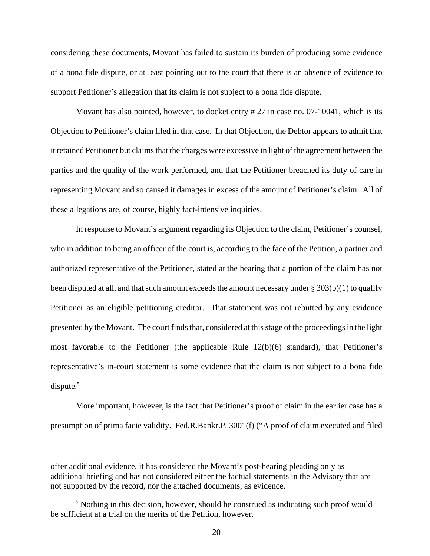considering these documents, Movant has failed to sustain its burden of producing some evidence of a bona fide dispute, or at least pointing out to the court that there is an absence of evidence to support Petitioner's allegation that its claim is not subject to a bona fide dispute.

Movant has also pointed, however, to docket entry # 27 in case no. 07-10041, which is its Objection to Petitioner's claim filed in that case. In that Objection, the Debtor appears to admit that it retained Petitioner but claims that the charges were excessive in light of the agreement between the parties and the quality of the work performed, and that the Petitioner breached its duty of care in representing Movant and so caused it damages in excess of the amount of Petitioner's claim. All of these allegations are, of course, highly fact-intensive inquiries.

In response to Movant's argument regarding its Objection to the claim, Petitioner's counsel, who in addition to being an officer of the court is, according to the face of the Petition, a partner and authorized representative of the Petitioner, stated at the hearing that a portion of the claim has not been disputed at all, and that such amount exceeds the amount necessary under § 303(b)(1) to qualify Petitioner as an eligible petitioning creditor. That statement was not rebutted by any evidence presented by the Movant. The court finds that, considered at this stage of the proceedings in the light most favorable to the Petitioner (the applicable Rule 12(b)(6) standard), that Petitioner's representative's in-court statement is some evidence that the claim is not subject to a bona fide dispute. $5$ 

More important, however, is the fact that Petitioner's proof of claim in the earlier case has a presumption of prima facie validity. Fed.R.Bankr.P. 3001(f) ("A proof of claim executed and filed

offer additional evidence, it has considered the Movant's post-hearing pleading only as additional briefing and has not considered either the factual statements in the Advisory that are not supported by the record, nor the attached documents, as evidence.

<sup>&</sup>lt;sup>5</sup> Nothing in this decision, however, should be construed as indicating such proof would be sufficient at a trial on the merits of the Petition, however.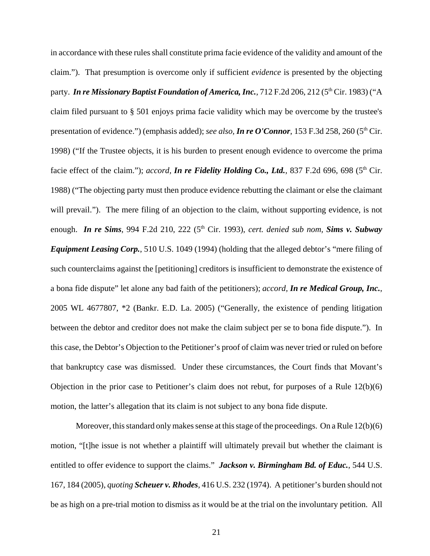in accordance with these rules shall constitute prima facie evidence of the validity and amount of the claim."). That presumption is overcome only if sufficient *evidence* is presented by the objecting party. *In re Missionary Baptist Foundation of America, Inc.*, 712 F.2d 206, 212 (5<sup>th</sup> Cir. 1983) ("A claim filed pursuant to § 501 enjoys prima facie validity which may be overcome by the trustee's presentation of evidence.") (emphasis added); *see also*, *In re O'Connor*, 153 F.3d 258, 260 (5<sup>th</sup> Cir. 1998) ("If the Trustee objects, it is his burden to present enough evidence to overcome the prima facie effect of the claim."); *accord*, **In re Fidelity Holding Co., Ltd.**, 837 F.2d 696, 698 (5<sup>th</sup> Cir. 1988) ("The objecting party must then produce evidence rebutting the claimant or else the claimant will prevail."). The mere filing of an objection to the claim, without supporting evidence, is not enough. *In re Sims*, 994 F.2d 210, 222 (5<sup>th</sup> Cir. 1993), *cert. denied sub nom, Sims v. Subway Equipment Leasing Corp.*, 510 U.S. 1049 (1994) (holding that the alleged debtor's "mere filing of such counterclaims against the [petitioning] creditors is insufficient to demonstrate the existence of a bona fide dispute" let alone any bad faith of the petitioners); *accord, In re Medical Group, Inc.*, 2005 WL 4677807, \*2 (Bankr. E.D. La. 2005) ("Generally, the existence of pending litigation between the debtor and creditor does not make the claim subject per se to bona fide dispute."). In this case, the Debtor's Objection to the Petitioner's proof of claim was never tried or ruled on before that bankruptcy case was dismissed. Under these circumstances, the Court finds that Movant's Objection in the prior case to Petitioner's claim does not rebut, for purposes of a Rule 12(b)(6) motion, the latter's allegation that its claim is not subject to any bona fide dispute.

Moreover, this standard only makes sense at this stage of the proceedings. On a Rule 12(b)(6) motion, "[t]he issue is not whether a plaintiff will ultimately prevail but whether the claimant is entitled to offer evidence to support the claims." *Jackson v. Birmingham Bd. of Educ.*, 544 U.S. 167, 184 (2005), *quoting Scheuer v. Rhodes*, 416 U.S. 232 (1974). A petitioner's burden should not be as high on a pre-trial motion to dismiss as it would be at the trial on the involuntary petition. All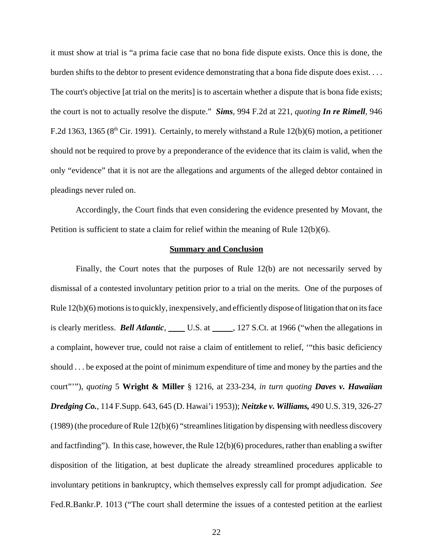it must show at trial is "a prima facie case that no bona fide dispute exists. Once this is done, the burden shifts to the debtor to present evidence demonstrating that a bona fide dispute does exist. . . . The court's objective [at trial on the merits] is to ascertain whether a dispute that is bona fide exists; the court is not to actually resolve the dispute." *Sims*, 994 F.2d at 221, *quoting In re Rimell,* 946 F.2d 1363, 1365 ( $8<sup>th</sup>$  Cir. 1991). Certainly, to merely withstand a Rule 12(b)(6) motion, a petitioner should not be required to prove by a preponderance of the evidence that its claim is valid, when the only "evidence" that it is not are the allegations and arguments of the alleged debtor contained in pleadings never ruled on.

Accordingly, the Court finds that even considering the evidence presented by Movant, the Petition is sufficient to state a claim for relief within the meaning of Rule  $12(b)(6)$ .

#### **Summary and Conclusion**

Finally, the Court notes that the purposes of Rule 12(b) are not necessarily served by dismissal of a contested involuntary petition prior to a trial on the merits. One of the purposes of Rule 12(b)(6) motions is to quickly, inexpensively, and efficiently dispose of litigation that on its face is clearly meritless. *Bell Atlantic*, U.S. at 127 S.Ct. at 1966 ("when the allegations in a complaint, however true, could not raise a claim of entitlement to relief, '"this basic deficiency should . . . be exposed at the point of minimum expenditure of time and money by the parties and the court"'"), *quoting* 5 **Wright & Miller** § 1216, at 233-234, *in turn quoting Daves v. Hawaiian Dredging Co.*, 114 F.Supp. 643, 645 (D. Hawai'i 1953)); *Neitzke v. Williams,* 490 U.S. 319, 326-27 (1989) (the procedure of Rule 12(b)(6) "streamlines litigation by dispensing with needless discovery and factfinding"). In this case, however, the Rule 12(b)(6) procedures, rather than enabling a swifter disposition of the litigation, at best duplicate the already streamlined procedures applicable to involuntary petitions in bankruptcy, which themselves expressly call for prompt adjudication. *See* Fed.R.Bankr.P. 1013 ("The court shall determine the issues of a contested petition at the earliest